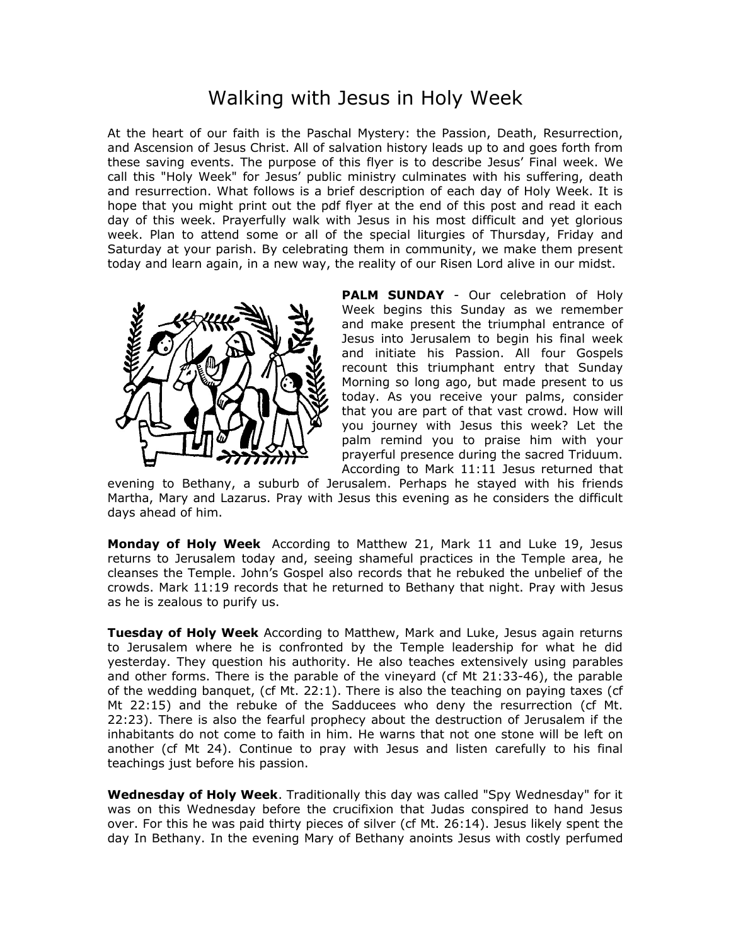## Walking with Jesus in Holy Week

At the heart of our faith is the Paschal Mystery: the Passion, Death, Resurrection, and Ascension of Jesus Christ. All of salvation history leads up to and goes forth from these saving events. The purpose of this flyer is to describe Jesus' Final week. We call this "Holy Week" for Jesus' public ministry culminates with his suffering, death and resurrection. What follows is a brief description of each day of Holy Week. It is hope that you might print out the pdf flyer at the end of this post and read it each day of this week. Prayerfully walk with Jesus in his most difficult and yet glorious week. Plan to attend some or all of the special liturgies of Thursday, Friday and Saturday at your parish. By celebrating them in community, we make them present today and learn again, in a new way, the reality of our Risen Lord alive in our midst.



**PALM SUNDAY** - Our celebration of Holy Week begins this Sunday as we remember and make present the triumphal entrance of Jesus into Jerusalem to begin his final week and initiate his Passion. All four Gospels recount this triumphant entry that Sunday Morning so long ago, but made present to us today. As you receive your palms, consider that you are part of that vast crowd. How will you journey with Jesus this week? Let the palm remind you to praise him with your prayerful presence during the sacred Triduum. According to Mark 11:11 Jesus returned that

evening to Bethany, a suburb of Jerusalem. Perhaps he stayed with his friends Martha, Mary and Lazarus. Pray with Jesus this evening as he considers the difficult days ahead of him.

**Monday of Holy Week** According to Matthew 21, Mark 11 and Luke 19, Jesus returns to Jerusalem today and, seeing shameful practices in the Temple area, he cleanses the Temple. John's Gospel also records that he rebuked the unbelief of the crowds. Mark 11:19 records that he returned to Bethany that night. Pray with Jesus as he is zealous to purify us.

**Tuesday of Holy Week** According to Matthew, Mark and Luke, Jesus again returns to Jerusalem where he is confronted by the Temple leadership for what he did yesterday. They question his authority. He also teaches extensively using parables and other forms. There is the parable of the vineyard (cf Mt 21:33-46), the parable of the wedding banquet, (cf Mt. 22:1). There is also the teaching on paying taxes (cf Mt 22:15) and the rebuke of the Sadducees who deny the resurrection (cf Mt. 22:23). There is also the fearful prophecy about the destruction of Jerusalem if the inhabitants do not come to faith in him. He warns that not one stone will be left on another (cf Mt 24). Continue to pray with Jesus and listen carefully to his final teachings just before his passion.

**Wednesday of Holy Week**. Traditionally this day was called "Spy Wednesday" for it was on this Wednesday before the crucifixion that Judas conspired to hand Jesus over. For this he was paid thirty pieces of silver (cf Mt. 26:14). Jesus likely spent the day In Bethany. In the evening Mary of Bethany anoints Jesus with costly perfumed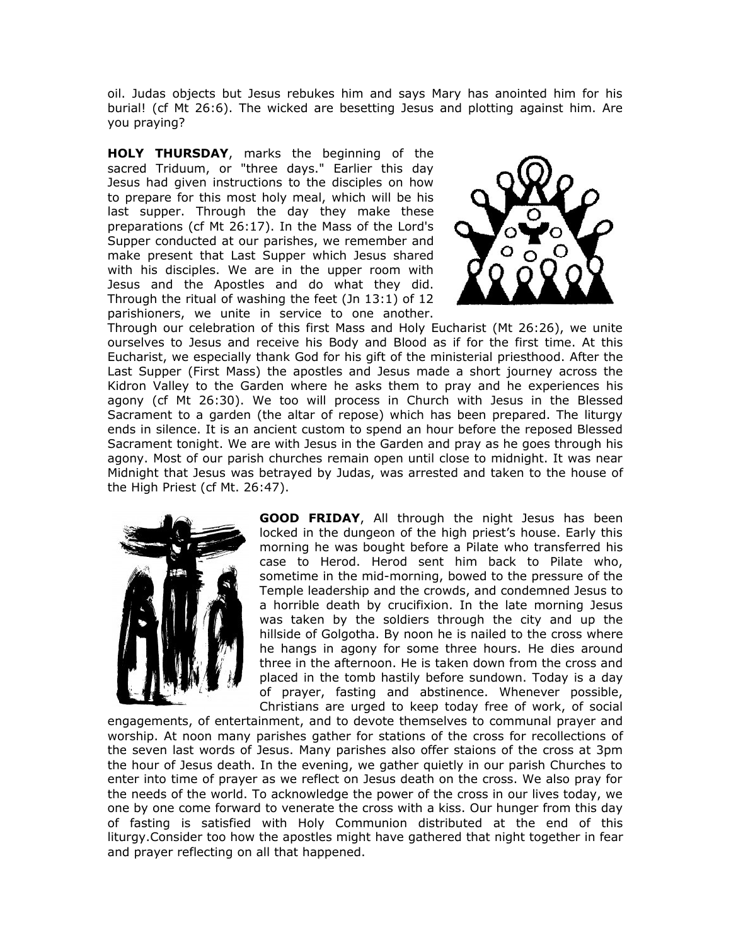oil. Judas objects but Jesus rebukes him and says Mary has anointed him for his burial! (cf Mt 26:6). The wicked are besetting Jesus and plotting against him. Are you praying?

**HOLY THURSDAY**, marks the beginning of the sacred Triduum, or "three days." Earlier this day Jesus had given instructions to the disciples on how to prepare for this most holy meal, which will be his last supper. Through the day they make these preparations (cf Mt 26:17). In the Mass of the Lord's Supper conducted at our parishes, we remember and make present that Last Supper which Jesus shared with his disciples. We are in the upper room with Jesus and the Apostles and do what they did. Through the ritual of washing the feet (Jn 13:1) of 12 parishioners, we unite in service to one another.



Through our celebration of this first Mass and Holy Eucharist (Mt 26:26), we unite ourselves to Jesus and receive his Body and Blood as if for the first time. At this Eucharist, we especially thank God for his gift of the ministerial priesthood. After the Last Supper (First Mass) the apostles and Jesus made a short journey across the Kidron Valley to the Garden where he asks them to pray and he experiences his agony (cf Mt 26:30). We too will process in Church with Jesus in the Blessed Sacrament to a garden (the altar of repose) which has been prepared. The liturgy ends in silence. It is an ancient custom to spend an hour before the reposed Blessed Sacrament tonight. We are with Jesus in the Garden and pray as he goes through his agony. Most of our parish churches remain open until close to midnight. It was near Midnight that Jesus was betrayed by Judas, was arrested and taken to the house of the High Priest (cf Mt. 26:47).



**GOOD FRIDAY**, All through the night Jesus has been locked in the dungeon of the high priest's house. Early this morning he was bought before a Pilate who transferred his case to Herod. Herod sent him back to Pilate who, sometime in the mid-morning, bowed to the pressure of the Temple leadership and the crowds, and condemned Jesus to a horrible death by crucifixion. In the late morning Jesus was taken by the soldiers through the city and up the hillside of Golgotha. By noon he is nailed to the cross where he hangs in agony for some three hours. He dies around three in the afternoon. He is taken down from the cross and placed in the tomb hastily before sundown. Today is a day of prayer, fasting and abstinence. Whenever possible, Christians are urged to keep today free of work, of social

engagements, of entertainment, and to devote themselves to communal prayer and worship. At noon many parishes gather for stations of the cross for recollections of the seven last words of Jesus. Many parishes also offer staions of the cross at 3pm the hour of Jesus death. In the evening, we gather quietly in our parish Churches to enter into time of prayer as we reflect on Jesus death on the cross. We also pray for the needs of the world. To acknowledge the power of the cross in our lives today, we one by one come forward to venerate the cross with a kiss. Our hunger from this day of fasting is satisfied with Holy Communion distributed at the end of this liturgy.Consider too how the apostles might have gathered that night together in fear and prayer reflecting on all that happened.